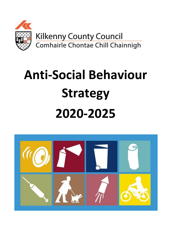

# **Anti-Social Behaviour Strategy 2020-2025**

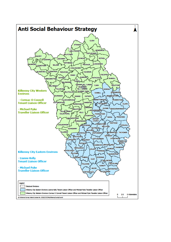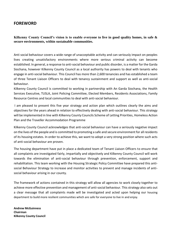# **FOREWORD**

**Kilkenny County Council's vision is to enable everyone to live in good quality homes, in safe & secure environments, within sustainable communities.** 

Anti social behaviour covers a wide range of unacceptable activity and can seriously impact on peoples lives creating unsatisfactory environments where more serious criminal activity can become established. In general, a response to anti-social behaviour and public disorder, is a matter for the Garda Siochana, however Kilkenny County Council as a local authority has powers to deal with tenants who engage in anti-social behaviour. This Council has more than 2,600 tenancies and has established a team of three Tenant Liaison Officers to deal with tenancy sustainment and support as well as anti-social behaviour.

Kilkenny County Council is committed to working in partnership with An Garda Siochana, the Health Services Executive, TUSLA, Joint Policing Committee, Elected Members, Residents Associations, Family Resource Centres and local communities to deal with anti-social behaviour.

I am pleased to present this five year strategy and action plan which outlines clearly the aims and objectives for the years ahead in relation to effectively dealing with anti-social behaviour. This strategy will be implemented in line with Kilkenny County Councils Scheme of Letting Priorities, Homeless Action Plan and the Traveller Accommodation Programme

Kilkenny County Council acknowledges that anti-social behaviour can have a seriously negative impact on the lives of the people and is committed to promoting a safe and secure environment for all residents of its housing estates. In order to achieve this, we want to adopt a very strong position where such acts of anti-social behaviour are proven.

The housing department have put in place a dedicated team of Tenant Liaison Officers to ensure that all complaints are investigated fairly, impartially and objectively and Kilkenny County Council will work towards the elimination of anti-social behaviour through prevention, enforcement, support and rehabilitation. This team working with the Housing Strategic Policy Committee have prepared this antisocial Behaviour Strategy to increase and monitor activities to prevent and manage incidents of antisocial behaviour arising in our county.

The framework of actions contained in this strategy will allow all agencies to work closely together to achieve more effective prevention and management of anti-social behaviour. This strategy also sets out a clear message that all complaints made will be investigated and acted upon helping our housing department to build more resilient communities which are safe for everyone to live in and enjoy.

**Andrew McGuinness Chairman Kilkenny County Council**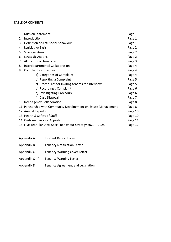#### **TABLE OF CONTENTS**

| 1. | <b>Mission Statement</b>                                        | Page 1  |
|----|-----------------------------------------------------------------|---------|
| 2. | Introduction                                                    | Page 1  |
| 3. | Definition of Anti-social behaviour                             | Page 1  |
| 4. | Legislative Basis                                               | Page 2  |
| 5. | <b>Strategic Aims</b>                                           | Page 2  |
| 6. | <b>Strategic Actions</b>                                        | Page 2  |
| 7. | <b>Allocation of Tenancies</b>                                  | Page 3  |
| 8. | Interdepartmental Collaboration                                 | Page 4  |
| 9. | <b>Complaints Procedure</b>                                     | Page 4  |
|    | (a) Categories of Complaint                                     | Page 4  |
|    | (b) Reporting a Complaint                                       | Page 5  |
|    | (c) Procedures for inviting tenants for interview               | Page 5  |
|    | (d) Recording a Complaint                                       | Page 6  |
|    | (e) Investigating Procedure                                     | Page 6  |
|    | (f) Case Disposal                                               | Page 7  |
|    | 10. Inter-agency Collaboration                                  | Page 8  |
|    | 11. Partnership with Community Development on Estate Management | Page 8  |
|    | 12. Annual Reports                                              | Page 10 |
|    | 13. Health & Safety of Staff                                    | Page 10 |
|    | 14. Customer Service Appeals                                    | Page 11 |
|    | 15. Five Year Plan Anti-Social Behaviour Strategy 2020 - 2025   | Page 12 |

- Appendix A Incident Report Form
- Appendix B Tenancy Notification Letter
- Appendix C Tenancy Warning Cover Letter
- Appendix C (ii) Tenancy Warning Letter
- Appendix D Tenancy Agreement and Legislation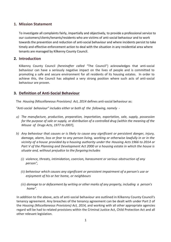# **1. Mission Statement**

To investigate all complaints fairly, impartially and objectively, to provide a professional service to our customers/clients/tenants/residents who are victims of anti-social behaviour and to work towards the prevention and reduction of anti-social behaviour and where incidents persist to take timely and effective enforcement action to deal with the situation in any residential area where tenants are managed by Kilkenny County Council.

# **2. Introduction**

Kilkenny County Council *(hereinafter called '*'The Council") acknowledges that anti-social behaviour can have a seriously negative impact on the lives of people and is committed to promoting a safe and secure environment for all residents of its housing estates. In order to achieve this, the Council has adopted a very strong position where such acts of anti-social behaviour are proven.

# **3. Definition of Anti-Social Behaviour**

The *Housing (Miscellaneous Provisions) Act, 2014* defines anti-social behaviour as:

*"Anti-social behaviour" includes either or both of the following, namely* -

- *a) The manufacture, production, preparation, importation, exportation, sale, supply, possession for the purpose of sale or supply, or distribution of a controlled drug (within the meaning of the Misuse of Drugs Acts, 1977 to 2007),*
- *b) Any behaviour that causes or is likely to cause any significant or persistent danger, injury, damage, alarm, loss or fear to any person living, working or otherwise lawfully in or in the vicinity of a house provided by a housing authority under the Housing Acts 1966 to 2014 or Part V of the Planning and Development Act 2000 or a housing estate in which the house is situate and, without prejudice to the forgoing includes*
	- *(i) violence, threats, intimidation, coercion, harassment or serious obstruction of any person",*
	- *(ii) behaviour which causes any significant or persistent impairment of a person's use or enjoyment of his or her home, or neighbours*
	- *(iii) damage to or defacement by writing or other marks of any property, including a person's home".*

In addition to the above, acts of anti-social behaviour are outlined in Kilkenny County Council's tenancy agreement. Any breaches of the tenancy agreement can be dealt with under Part 2 of the *Housing (Miscellaneous Provisions) Act, 2014,* and working with all other appropriate agencies regard will be had to related provisions within the Criminal Justice Act, Child Protection Act and all other relevant legislation.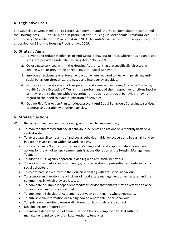# **4. Legislative Basis**

The Council's powers in relation to Estate Management and Anti-Social Behaviour are contained in the Housing Acts 1966 to 2014 and in particular the Housing (Miscellaneous Provision) Act 1997 and Housing (Miscellaneous Provisions) Act 2014. An Anti-Social Behaviour Strategy is required under Section 33 of the Housing Provision Act 2009.

## **5. Strategic Aims**

- 1. Prevent and reduce incidences of Anti-Social Behaviour in areas where housing units and sites, are provided under the Housing Acts, 1966-2009.
- 2. Co-ordinate services, within the Housing Authority, that are specifically directed at dealing with, or preventing or reducing Anti-Social Behaviour.
- 3. Improve effectiveness of enforcement action where required to deal with persisting antisocial behaviour through Co-ordinated and interagency activities.
- 4. Promote co-operation with other persons and agencies, including An Garda Siochana, Health Service Executive & Tusla in the performance of their respective functions insofar as they relate to dealing with, preventing, or reducing anti-social behaviour, having regard to the need to avoid duplication of activities.
- 5. Outline Five Year Action Plan to reduce/prevent Anti-Social Behaviour, Co-ordinate services, promote co-operation with other agencies.

# **6. Strategic Actions**

Within the aims outlined above, the following actions will be implemented;

- To monitor and record anti-social behaviour incidents and actions on a monthly basis on a central system.
- To investigate all complaints of anti-social behaviour fairly, objectively and impartially and to initiate an investigation within 10 working days.
- To issue Tenancy Notifications, Tenancy Warnings and to take appropriate enforcement actions for breach of tenancy agreements is at the discretion of the Housing Management Team.
- To adopt a multi-agency approach in dealing with anti-social behaviour
- To work with voluntary and community groups in relation to preventing and reducing antisocial behaviour.
- To co-ordinate services within the Council in dealing with anti-social behaviour.
- To promote and develop the principles of good estate management on our estates and the communities in which they are located.
- To nominate a suitable independent mediator service that tenants may be referred to once Tenancy Warning Letters are issued.
- To implement Behavioural Agreements between both tenants where necessary.
- To publish clear information explaining how to report anti-social behaviour.
- To update our website to ensure all information is up to date and correct.
- Develop Incident Report Form.
- To ensure a dedicated unit of Tenant Liaison Officers is employed to deal with the management and control of all Local Authority tenancies.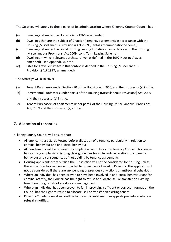The Strategy will apply to those parts of its administration where Kilkenny County Council has:-

- (a) Dwellings let under the Housing Acts 1966 as amended;
- (b) Dwellings that are the subject of Chapter 4 tenancy agreements in accordance with the Housing (Miscellaneous Provisions) Act 2009 (Rental Accommodation Scheme);
- (c) Dwellings let under the Social Housing Leasing Initiative in accordance with the Housing (Miscellaneous Provisions) Act 2009 (Long Term Leasing Scheme);
- (d) Dwellings in which relevant purchasers live (as defined in the 1997 Housing Act, as amended) - see Appendix A, note 1.
- (e) Sites for Travellers ('site' in this context is defined in the Housing (Miscellaneous Provisions) Act 1997, as amended)

The Strategy will also cover:-

- (a) Tenant Purchasers under Section 90 of the Housing Act 1966, and their successor(s) in title.
- (b) Incremental Purchasers under part 3 of the Housing (Miscellaneous Provisions) Act, 2009 and their successor(s) in title.
- (c) Tenant Purchasers of apartments under part 4 of the Housing (Miscellaneous) Provisions Act, 2009 and their successor(s) in title.

# **7. Allocation of tenancies**

Kilkenny County Council will ensure that;

- All applicants are Garda Vetted before allocation of a tenancy particularly in relation to criminal behaviour and anti-social behaviour.
- All new tenants will be required to complete a compulsory Pre-Tenancy Course. This course has a strong emphasis on issuing clear guidelines for all tenants in relation to anti-social behaviour and consequences of not abiding by tenancy agreements.
- Housing applicants from outside the Jurisdiction will not be considered for housing unless there is satisfactory evidence provided to prove basis of need in Kilkenny. The applicant will not be considered if there are any pending or previous convictions of anti-social behaviour.
- Where an individual has been proven to have been involved in anti-social behaviour and/or criminal activity, the Council has the right to refuse to allocate, sell or transfer an existing tenant on the grounds of good estate management.
- Where an individual has been proven to fail in providing sufficient or correct information the Council has the right to refuse to allocate, sell or transfer an existing tenant.
- Kilkenny County Council will outline to the applicant/tenant an appeals procedure where a refusal is notified.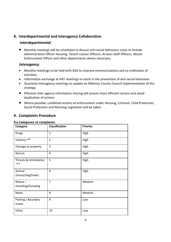# **8. Interdepartmental and Interagency Collaboration**

# *Interdepartmental*

• Monthly meetings will be scheduled to discuss anti-social behaviour cases to include Administrative Officer Housing, Tenant Liaison Officers, Arrears Staff Officers, Waste Enforcement Officer and other departments where necessary.

# *Interagency*

- Monthly meetings to be held with AGS to improve communications and co-ordination of activities.
- Information exchange at HAT meetings to assist in the prevention of anti-social behaviour
- Quarterly interagency meetings to update on Kilkenny County Council implementation of this strategy.
- Effective inter agency information sharing will ensure more efficient service and avoid duplication of actions.
- Where possible, combined actions of enforcement under Housing, Criminal, Child Protection, Social Protection and Planning Legislation will be taken.

# **9. Complaints Procedure**

| Category                          | <b>Classification</b> | <b>Priority</b> |
|-----------------------------------|-----------------------|-----------------|
| <b>Drugs</b>                      | $\mathbf{1}$          | High            |
| Violence **                       | $\overline{2}$        | High            |
| Damage to property                | 3                     | High            |
| Racism                            | 4                     | High            |
| Threats & Intimidation<br>***     | 5                     | High            |
| Animal<br>(Horse/Dog/Fowl)        | 6                     | High            |
| $Reference -$<br>Hoarding/Dumping | $\overline{7}$        | Medium          |
| <b>Noise</b>                      | 8                     | Medium          |
| Parking / Boundary<br>Issues      | 9                     | Low             |
| Other                             | 10                    | Low             |

#### **9.a Categories of complaints.**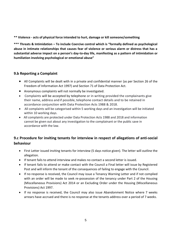**\*\* Violence - acts of physical force intended to hurt, damage or kill someone/something**

**\*\*\* Threats & Intimidation – To include Coercive control which is "formally defined as psychological abuse in intimate relationships that causes fear of violence or serious alarm or distress that has a substantial adverse impact on a person's day-to-day life, manifesting as a pattern of intimidation or humiliation involving psychological or emotional abuse"**

# **9.b Reporting a Complaint**

- All Complaints will be dealt with in a private and confidential manner (as per Section 26 of the Freedom of Information Act 1997) and Section 71 of Data Protection Act.
- Anonymous complaints will not normally be investigated.
- Complaints will be accepted by telephone or in writing provided the complainants give their name, address and if possible, telephone contact details and to be retained in accordance conjunction with Data Protection Acts 1988 & 2018.
- All complaints will be categorised within 5 working days and an investigation will be initiated within 10 working days.
- All complaints are protected under Data Protection Acts 1988 and 2018 and information cannot be given out about any investigation to the complainant or the public save in accordance with the law.

# **9.c Procedure for inviting tenants for interview in respect of allegations of anti-social behaviour**

- First Letter issued inviting tenants for interview (5 days notice given). The letter will outline the allegation.
- If tenant fails to attend interview and makes no contact a second letter is issued.
- If tenant fails to attend or make contact with the Council a Final letter will issue by Registered Post and will inform the tenant of the consequences of failing to engage with the Council.
- If no response is received, the Council may issue a Tenancy Warning Letter and if not complied with an order will be made to seek re-possession of the tenancy under Part 2 of the Housing (Miscellaneous Provisions) Act 2014 or an Excluding Order under the Housing (Miscellaneous Provisions) Act 1997.
- If no response is received, the Council may also issue Abandonment Notice where 7 weeks arrears have accrued and there is no response at the tenants address over a period of 7 weeks.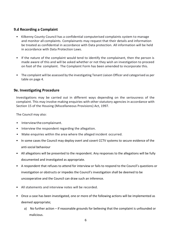# **9.d Recording a Complaint**

- Kilkenny County Council has a confidential computerised complaints system to manage and monitor all complaints. Complainants may request that their details and information be treated as confidential in accordance with Data protection. All information will be held in accordance with Data Protection Laws.
- If the nature of the complaint would tend to identify the complainant, then the person is made aware of this and will be asked whether or not they wish an investigation to proceed on foot of the complaint. The Complaint Form has been amended to incorporate this.
- The complaint will be assessed by the investigating Tenant Liaison Officer and categorised as per table on page 4.

# **9e. Investigating Procedure**

Investigations may be carried out in different ways depending on the seriousness of the complaint. This may involve making enquiries with other statutory agencies in accordance with Section 15 of the Housing (Miscellaneous Provisions) Act, 1997.

The Council may also:

- Interviewthecomplainant.
- Interview the respondent regarding the allegation.
- Make enquiries within the area where the alleged incident occurred.
- In some cases the Council may deploy overt and covert CCTV systems to secure evidence of the anti-social behaviour
- All allegations will be presented to the respondent. Any responses to the allegations will be fully documented and investigated as appropriate.
- A respondent that refuses to attend for interview or fails to respond to the Council's questions or investigation or obstructs or impedes the Council's investigation shall be deemed to be uncooperative and the Council can draw such an inference.
- All statements and interview notes will be recorded.
- Once a case has been investigated, one or more of the following actions will be implemented as deemed appropriate;
	- a) No further action if reasonable grounds for believing that the complaint is unfounded or malicious.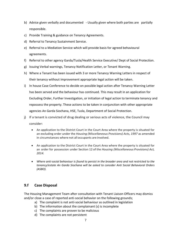- b) Advice given verbally and documented Usually given where both parties are partially responsible.
- c) Provide Training & guidance on Tenancy Agreements.
- d) Referral to Tenancy Sustainment Service.
- e) Referral to a Mediation Service which will provide basis for agreed behavioural agreements.
- f) Referral to other agency Garda/Tusla/Health Service Executive/ Dept of Social Protection.
- g) Issuing Verbal warnings, Tenancy Notification Letter, or Tenant Warning.
- h) Where a Tenant has been issued with 3 or more Tenancy Warning Letters in respect of their tenancy without improvement appropriate legal action will be taken.
- i) In house Case Conference to decide on possible legal action after Tenancy Warning Letter has been served and the behaviour has continued. This may result in an application for Excluding Order, Further Investigation, or initiation of legal action to terminate tenancy and repossess the property. These actions to be taken in conjunction with other appropriate agencies An Garda Siochana, HSE, Tusla, Department of Social Protection.
- j) If a tenant is convicted of drug dealing or serious acts of violence, the Council may consider:
	- An application to the District Court in the Court Area where the property is situated for an excluding order under the *Housing (Miscellaneous Provisions) Acts, 1997* as amended in circumstances where not all occupants are involved.
	- An application to the District Court in the Court Area where the property is situated for an order for possession under Section 12 of the *Housing (Miscellaneous Provisions) Act, 2014.*
	- *Where anti-social behaviour is found to persist in the broader area and not restricted to the tenancy/estate An Garda Siochana will be asked to consider Anti Social Behavioral Orders (ASBO).*

# **9.f Case Disposal**

The Housing Management Team after consultation with Tenant Liaison Officers may dismiss and/or close a case of reported anti-social behavior on the following grounds;

- a) The complaint is not anti-social behaviour as outlined in legislation
- b) The information about the complainant (s) is incomplete
- c) The complaints are proven to be malicious
- d) The complaints are not persistent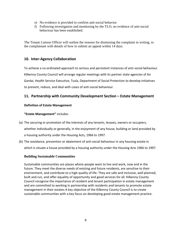- e) No evidence is provided to confirm anti-social behavior
- f) Following investigation and monitoring by the TLO, no evidence of anti-social behaviour has been established.

The Tenant Liaison Officer will outline the reasons for dismissing the complaint in writing, to the complainant with details of how to submit an appeal within 14 days.

# **10. Inter-Agency Collaboration**

To achieve a co-ordinated approach to serious and persistent instances of anti-social behaviour Kilkenny County Council will arrange regular meetings with its partner state agencies of An Gardai, Health Service Executive, Tusla, Department of Social Protection to develop initiatives to prevent, reduce, and deal with cases of anti-social behaviour.

# **11. Partnership with Community Development Section – Estate Management**

#### **Definition of Estate Management**

#### **"Estate Management"** includes

- (a) The securing or promotion of the interests of any tenants, lessees, owners or occupiers, whether individually or generally, in the enjoyment of any house, building or land provided by a housing authority under the Housing Acts, 1966 to 1997.
- (b) The avoidance, prevention or abatement of anti-social behaviour in any housing estate in which is situate a house provided by a housing authority under the Housing Acts 1966 to 1997.

#### **Building Sustainable Communities**

Sustainable communities are places where people want to live and work, now and in the future. They meet the diverse needs of existing and future residents, are sensitive to their environment, and contribute to a high quality of life. They are safe and inclusive, well planned, built and run, and offer equality of opportunity and good services for all. Kilkenny County Council recognise the importance of resident and tenant participation in estate management and are committed to working in partnership with residents and tenants to promote estate management in their estates A key objective of the Kilkenny County Council is to create sustainable communities with a key focus on developing good estate management practice.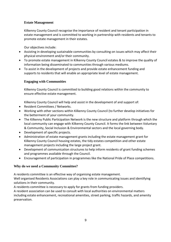#### **Estate Management**

Kilkenny County Council recognise the importance of resident and tenant participation in estate management and is committed to working in partnership with residents and tenants to promote estate management in their estates.

Our objectives include:

- Assisting in developing sustainable communities by consulting on issues which may affect their physical environment and/or their community.
- To promote estate management in Kilkenny County Council estates & to improve the quality of information being disseminated to communities through various mediums.
- To assist in the development of projects and provide estate enhancement funding and supports to residents that will enable an appropriate level of estate management.

#### **Engaging with Communities**

Kilkenny County Council is committed to building good relations within the community to ensure effective estate management.

Kilkenny County Council will help and assist in the development of and support of:

- Resident Committees / Networks.
- Working with other sections within Kilkenny County Council (to further develop initiatives for the betterment of your community.
- The Kilkenny Public Participation Network is the new structure and platform through which the local community can engage with Kilkenny County Council. It forms the link between Voluntary & Community, Social Inclusion & Environmental sectors and the local governing body.
- Development of specific projects.
- Administration of estate management grants including the estate management grant for Kilkenny County Council housing estates, the tidy estates competition and other estate management projects including the large project grant.
- Development of communication structures to help inform residents of grant funding schemes and programmes available through the Council.
- Encouragement of participation in programmes like the National Pride of Place competitions.

#### **Why do we need a Community Committee?**

A residents committee is an effective way of organising estate management.

Well organised Residents Associations can play a key role in communicating issues and identifying solutions in their community.

A residents committee is necessary to apply for grants from funding providers.

A resident association can be used to consult with local authorities on environmental matters including estate enhancement, recreational amenities, street parking, traffic hazards, and amenity preservation.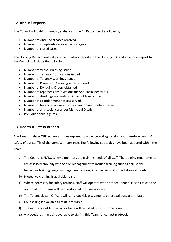# **12. Annual Reports**

The Council will publish monthly statistics in the CE Report on the following;

- Number of Anti-Social cases received
- Number of complaints received per category
- Number of closed cases

The Housing Department will provide quarterly reports to the Housing SPC and an annual report to the Council to include the following;

- Number of Verbal Warning issued
- Number of Tenancy Notifications issued
- Number of Tenancy Warnings issued
- Number of Possession Orders granted in Court
- Number of Excluding Orders obtained
- Number of repossessions/evictions for Anti-social behaviour
- Number of dwellings surrendered in lieu of legal action
- Number of abandonment notices served
- Number of tenancies acquired from abandonment notices served
- Number of anti-social cases per Municipal District
- Previous annual figures

# **13. Health & Safety of Staff**

The Tenant Liaison Officers are at times exposed to violence and aggression and therefore health & safety of our staff is of the upmost importance. The following strategies have been adopted within the Team;

- a) The Council's PMDS scheme monitors the training needs of all staff. The training requirements are assessed annually with Senior Management to include training such as anti-social behaviour training, anger management courses, interviewing skills, mediations skills etc.
- b) Protective clothing is available to staff.
- c) Where necessary for safety reasons, staff will operate with another Tenant Liaison Officer, the option of Body Cams will be investigated for lone workers.
- d) The Tenant Liaison Officers will carry out risk assessments before callouts are initiated.
- e) Counselling is available to staff if required.
- f) The assistance of An Garda Siochana will be called upon in some cases.
- g) A procedures manual is available to staff in this Team for correct protocol.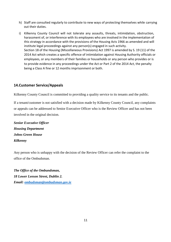- h) Staff are consulted regularly to contribute to new ways of protecting themselves while carrying out their duties.
- i) Kilkenny County Council will not tolerate any assaults, threats, intimidation, obstruction, harassment of, or interference with its employees who are involved in the implementation of this strategy in accordance with the provisions of the Housing Acts 1966 as amended and will institute legal proceedings against any person(s) engaged in such activity. Section 18 of the Housing (Miscellaneous Provisions) Act 1997 is amended by S. 19 (11) of the 2014 Act which creates a specific offence of intimidation against Housing Authority officials or employees, or any members of their families or households or any person who provides or is to provide evidence in any proceedings under the Act or Part 2 of the 2014 Act, the penalty being a Class A fine or 12 months imprisonment or both.

# **14.Customer Service/Appeals**

Kilkenny County Council is committed to providing a quality service to its tenants and the public.

If a tenant/customer is not satisfied with a decision made by Kilkenny County Council, any complaints or appeals can be addressed to Senior Executive Officer who is the Review Officer and has not been involved in the original decision.

*Senior Executive Officer Housing Department Johns Green House Kilkenny* 

Any person who is unhappy with the decision of the Review Officer can refer the complaint to the office of the Ombudsman.

*The Office of the Ombundsman, 18 Lower Leeson Street, Dublin 2. Email: [ombudsman@ombudsman.gov.ie](mailto:ombudsman@ombudsman.gov.ie)*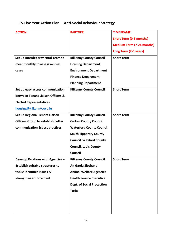# **15.Five Year Action Plan Anti-Social Behaviour Strategy**

|                                   | <b>TIMEFRAME</b>                 |
|-----------------------------------|----------------------------------|
|                                   |                                  |
|                                   | <b>Short Term (0-6 months)</b>   |
|                                   | <b>Medium Term (7-24 months)</b> |
|                                   | Long Term (2-5 years)            |
| <b>Kilkenny County Council</b>    | <b>Short Term</b>                |
| <b>Housing Department</b>         |                                  |
| <b>Environment Department</b>     |                                  |
| <b>Finance Department</b>         |                                  |
| <b>Planning Department</b>        |                                  |
| <b>Kilkenny County Council</b>    | <b>Short Term</b>                |
|                                   |                                  |
|                                   |                                  |
|                                   |                                  |
| <b>Kilkenny County Council</b>    | <b>Short Term</b>                |
| <b>Carlow County Council</b>      |                                  |
| <b>Waterford County Council,</b>  |                                  |
| <b>South Tipperary County</b>     |                                  |
| <b>Council, Wexford County</b>    |                                  |
| <b>Council, Laois County</b>      |                                  |
| <b>Council</b>                    |                                  |
| <b>Kilkenny County Council</b>    | <b>Short Term</b>                |
| An Garda Siochana                 |                                  |
| <b>Animal Welfare Agencies</b>    |                                  |
| <b>Health Service Executive</b>   |                                  |
| <b>Dept. of Social Protection</b> |                                  |
| Tusla                             |                                  |
|                                   |                                  |
|                                   |                                  |
|                                   |                                  |
|                                   | <b>PARTNER</b>                   |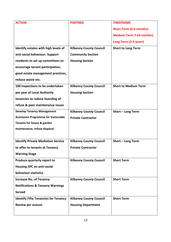| <b>ACTION</b>                               | <b>PARTNER</b>                 | <b>TIMEFRAME</b>                |
|---------------------------------------------|--------------------------------|---------------------------------|
|                                             |                                | <b>Short Term (0-6 months)</b>  |
|                                             |                                | <b>Medium Term 7-24 months)</b> |
|                                             |                                | Long Term (2-5 years)           |
| Identify estates with high levels of        | <b>Kilkenny County Council</b> | <b>Short to Long Term</b>       |
| anti-social behaviour. Support              | <b>Community Section</b>       |                                 |
| residents to set up committees to           | <b>Housing Section</b>         |                                 |
| encourage tenant participation,             |                                |                                 |
| good estate management practices,           |                                |                                 |
| reduce waste etc.                           |                                |                                 |
| 100 inspections to be undertaken            | <b>Kilkenny County Council</b> | <b>Short to Medium Term</b>     |
| per year of Local Authority                 | <b>Housing Section</b>         |                                 |
| tenancies to reduce hoarding of             |                                |                                 |
| refuse & poor maintenance issues            |                                |                                 |
| <b>Develop Tenancy Management</b>           | <b>Kilkenny County Council</b> | Short - Long Term               |
| <b>Assistance Programme for Vulnerable</b>  | <b>Private Contractor</b>      |                                 |
| Tenants for house & garden                  |                                |                                 |
| maintenance, refuse disposal.               |                                |                                 |
|                                             |                                |                                 |
| <b>Identify Private Mediation Service</b>   | <b>Kilkenny County Council</b> | Short - Long Term               |
| to offer to tenants at Tenancy              | <b>Private Contractor</b>      |                                 |
| <b>Warning Stage</b>                        |                                |                                 |
| Produce quarterly report to                 | <b>Kilkenny County Council</b> | <b>Short Term</b>               |
| <b>Housing SPC on anti-social</b>           |                                |                                 |
| behaviour statistics                        |                                |                                 |
| <b>Increase No. of Tenancy</b>              | <b>Kilkenny County Council</b> | <b>Short Term</b>               |
| <b>Notifications &amp; Tenancy Warnings</b> |                                |                                 |
| <b>Served</b>                               |                                |                                 |
| <b>Identify Fifty Tenancies for Tenancy</b> | <b>Kilkenny County Council</b> | <b>Short Term</b>               |
| Review per annum                            | <b>Housing Department</b>      |                                 |
|                                             |                                |                                 |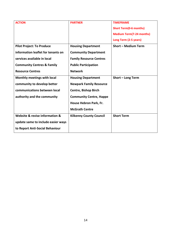| <b>ACTION</b>                         | <b>PARTNER</b>                 | <b>TIMEFRAME</b>                |
|---------------------------------------|--------------------------------|---------------------------------|
|                                       |                                | <b>Short Term(0-6 months)</b>   |
|                                       |                                | <b>Medium Term(7-24 months)</b> |
|                                       |                                | Long Term (2-5 years)           |
| <b>Pilot Project: To Produce</b>      | <b>Housing Department</b>      | <b>Short - Medium Term</b>      |
| information leaflet for tenants on    | <b>Community Department</b>    |                                 |
| services available in local           | <b>Family Resource Centres</b> |                                 |
| <b>Community Centres &amp; Family</b> | <b>Public Participation</b>    |                                 |
| <b>Resource Centres</b>               | <b>Network</b>                 |                                 |
| Monthly meetings with local           | <b>Housing Department</b>      | Short - Long Term               |
| community to develop better           | <b>Newpark Family Resource</b> |                                 |
| communications between local          | <b>Centre, Bishop Birch</b>    |                                 |
| authority and the community           | <b>Community Centre, Happe</b> |                                 |
|                                       | House Hebron Park, Fr.         |                                 |
|                                       | <b>McGrath Centre</b>          |                                 |
| Website & revise information &        | <b>Kilkenny County Council</b> | <b>Short Term</b>               |
| update same to include easier ways    |                                |                                 |
| to Report Anti-Social Behaviour       |                                |                                 |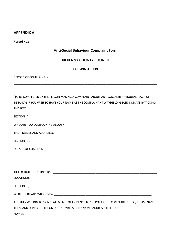## **APPENDIX A**

Record No.: \_\_\_\_\_\_\_\_\_\_\_\_\_\_

## **Anti-Social Behaviour Complaint Form**

## **KILKENNY COUNTY COUNCIL**

|  | <b>HOUSING SECTION</b> |  |  |
|--|------------------------|--|--|
|--|------------------------|--|--|

\_\_\_\_\_\_\_\_\_\_\_\_\_\_\_\_\_\_\_\_\_\_\_\_\_\_\_\_\_\_\_\_\_\_\_\_\_\_\_\_\_\_\_\_\_\_\_\_\_\_\_\_\_\_\_\_\_\_\_\_\_\_\_\_\_\_\_\_\_\_\_\_\_\_\_\_\_\_\_\_\_\_\_\_\_\_\_\_\_\_\_

\_\_\_\_\_\_\_\_\_\_\_\_\_\_\_\_\_\_\_\_\_\_\_\_\_\_\_\_\_\_\_\_\_\_\_\_\_\_\_\_\_\_\_\_\_\_\_\_\_\_\_\_\_\_\_\_\_\_\_\_\_\_\_\_\_\_\_\_\_\_\_\_\_\_\_\_\_\_\_\_\_\_\_\_\_\_\_\_\_\_\_

RECORD OF COMPLAINT: -

(TO BE COMPLETED BY THE PERSON MAKING A COMPLAINT ABOUT ANTI-SOCIAL BEHAVIOUR/BREACH OF TENANCY) IF YOU WISH TO HAVE YOUR NAME AS THE COMPLAINANT WITHHELD PLEASE INDICATE BY TICKING THIS BOX:

SECTION (A).

WHO ARE YOU COMPLAINING ABOUT? WHO ARE YOU COMPLAINING ABOUT?

THEIR NAMES AND ADDRESSES: \_\_\_\_\_\_\_\_\_\_\_\_\_\_\_\_\_\_\_\_\_\_\_\_\_\_\_\_\_\_\_\_\_\_\_\_\_\_\_\_\_\_\_\_\_\_\_\_\_\_\_\_\_\_\_\_\_\_\_\_\_\_\_\_

SECTION (B).

DETAILS OF COMPLAINT:

\_\_\_\_\_\_\_\_\_\_\_\_\_\_\_\_\_\_\_\_\_\_\_\_\_\_\_\_\_\_\_\_\_\_\_\_\_\_\_\_\_\_\_\_\_\_\_\_\_\_\_\_\_\_\_\_\_\_\_\_\_\_\_\_\_\_\_\_\_\_\_\_\_\_\_\_\_\_\_\_\_\_\_\_\_\_\_\_\_\_\_ TIME & DATE OF INCIDENT(S):

LOCATION(S):

SECTION (C).

WERE THERE ANY WITNESSES? WERE THERE ANY WITNESSES?

ARE THEY WILLING TO SIGN STATEMENTS OF EVIDENCE TO SUPPORT YOUR COMPLAINT? IF SO, PLEASE NAME THEM AND SUPPLY THEIR CONTACT NUMBERS HERE: NAME: ADDRESS: TELEPHONE

\_\_\_\_\_\_\_\_\_\_\_\_\_\_\_\_\_\_\_\_\_\_\_\_\_\_\_\_\_\_\_\_\_\_\_\_\_\_\_\_\_\_\_\_\_\_\_\_\_\_\_\_\_\_\_\_\_\_\_\_\_\_\_\_\_\_\_\_\_\_\_\_\_\_\_\_\_\_\_\_\_\_\_\_\_\_\_\_\_\_\_

\_\_\_\_\_\_\_\_\_\_\_\_\_\_\_\_\_\_\_\_\_\_\_\_\_\_\_\_\_\_\_\_\_\_\_\_\_\_\_\_\_\_\_\_\_\_\_\_\_\_\_\_\_\_\_\_\_\_\_\_\_\_\_\_\_\_\_\_\_\_\_\_\_\_\_\_\_\_\_\_\_\_\_\_\_\_\_\_\_\_\_

NUMBER:\_\_\_\_\_\_\_\_\_\_\_\_\_\_\_\_\_\_\_\_\_\_\_\_\_\_\_\_\_\_\_\_\_\_\_\_\_\_\_\_\_\_\_\_\_\_\_\_\_\_\_\_\_\_\_\_\_\_\_\_\_\_\_\_\_\_\_\_\_\_\_\_\_\_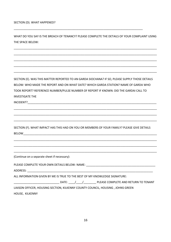WHAT DO YOU SAY IS THE BREACH OF TENANCY? PLEASE COMPLETE THE DETAILS OF YOUR COMPLAINT USING THE SPACE BELOW:

\_\_\_\_\_\_\_\_\_\_\_\_\_\_\_\_\_\_\_\_\_\_\_\_\_\_\_\_\_\_\_\_\_\_\_\_\_\_\_\_\_\_\_\_\_\_\_\_\_\_\_\_\_\_\_\_\_\_\_\_\_\_\_\_\_\_\_\_\_\_\_\_\_\_\_\_\_\_\_\_\_\_\_\_\_\_\_\_\_\_\_

\_\_\_\_\_\_\_\_\_\_\_\_\_\_\_\_\_\_\_\_\_\_\_\_\_\_\_\_\_\_\_\_\_\_\_\_\_\_\_\_\_\_\_\_\_\_\_\_\_\_\_\_\_\_\_\_\_\_\_\_\_\_\_\_\_\_\_\_\_\_\_\_\_\_\_\_\_\_\_\_\_\_\_\_\_\_\_\_\_\_\_

\_\_\_\_\_\_\_\_\_\_\_\_\_\_\_\_\_\_\_\_\_\_\_\_\_\_\_\_\_\_\_\_\_\_\_\_\_\_\_\_\_\_\_\_\_\_\_\_\_\_\_\_\_\_\_\_\_\_\_\_\_\_\_\_\_\_\_\_\_\_\_\_\_\_\_\_\_\_\_\_\_\_\_\_\_\_\_\_\_\_\_

\_\_\_\_\_\_\_\_\_\_\_\_\_\_\_\_\_\_\_\_\_\_\_\_\_\_\_\_\_\_\_\_\_\_\_\_\_\_\_\_\_\_\_\_\_\_\_\_\_\_\_\_\_\_\_\_\_\_\_\_\_\_\_\_\_\_\_\_\_\_\_\_\_\_\_\_\_\_\_\_\_\_\_\_\_\_\_\_\_\_\_

\_\_\_\_\_\_\_\_\_\_\_\_\_\_\_\_\_\_\_\_\_\_\_\_\_\_\_\_\_\_\_\_\_\_\_\_\_\_\_\_\_\_\_\_\_\_\_\_\_\_\_\_\_\_\_\_\_\_\_\_\_\_\_\_\_\_\_\_\_\_\_\_\_\_\_\_\_\_\_\_\_\_\_\_\_\_\_\_\_\_\_

\_\_\_\_\_\_\_\_\_\_\_\_\_\_\_\_\_\_\_\_\_\_\_\_\_\_\_\_\_\_\_\_\_\_\_\_\_\_\_\_\_\_\_\_\_\_\_\_\_\_\_\_\_\_\_\_\_\_\_\_\_\_\_\_\_\_\_\_\_\_\_\_\_\_\_\_\_\_\_\_\_\_

SECTION (E). WAS THIS MATTER REPORTED TO AN GARDA SIOCHANA? IF SO, PLEASE SUPPLY THOSE DETAILS BELOW: WHO MADE THE REPORT AND ON WHAT DATE? WHICH GARDA STATION? NAME OF GARDA WHO TOOK REPORT? REFERENCE NUMBER/PULSE NUMBER OF REPORT IF KNOWN: DID THE GARDAI CALL TO INVESTIGATE THE

\_\_\_\_\_\_\_\_\_\_\_\_\_\_\_\_\_\_\_\_\_\_\_\_\_\_\_\_\_\_\_\_\_\_\_\_\_\_\_\_\_\_\_\_\_\_\_\_\_\_\_\_\_\_\_\_\_\_\_\_\_\_\_\_\_\_\_\_\_\_\_\_\_\_\_\_\_\_\_\_\_\_\_\_\_\_\_\_\_\_\_

\_\_\_\_\_\_\_\_\_\_\_\_\_\_\_\_\_\_\_\_\_\_\_\_\_\_\_\_\_\_\_\_\_\_\_\_\_\_\_\_\_\_\_\_\_\_\_\_\_\_\_\_\_\_\_\_\_\_\_\_\_\_\_\_\_\_\_\_\_\_\_\_\_\_\_\_\_\_\_\_\_\_\_\_\_\_\_\_\_\_\_

\_\_\_\_\_\_\_\_\_\_\_\_\_\_\_\_\_\_\_\_\_\_\_\_\_\_\_\_\_\_\_\_\_\_\_\_\_\_\_\_\_\_\_\_\_\_\_\_\_\_\_\_\_\_\_\_\_\_\_\_\_\_\_\_\_\_\_\_\_\_\_\_\_\_\_\_\_\_\_\_\_\_\_\_\_\_\_\_\_\_\_

\_\_\_\_\_\_\_\_\_\_\_\_\_\_\_\_\_\_\_\_\_\_\_\_\_\_\_\_\_\_\_\_\_\_\_\_\_\_\_\_\_\_\_\_\_\_\_\_\_\_\_\_\_\_\_\_\_\_\_\_\_\_\_\_\_\_\_\_\_\_\_\_\_\_\_\_\_\_\_\_\_\_\_\_\_\_\_\_\_\_\_

\_\_\_\_\_\_\_\_\_\_\_\_\_\_\_\_\_\_\_\_\_\_\_\_\_\_\_\_\_\_\_\_\_\_\_\_\_\_\_\_\_\_\_\_\_\_\_\_\_\_\_\_\_\_\_\_\_\_\_\_\_\_\_\_\_\_\_\_\_\_\_\_\_\_\_\_\_\_\_\_\_\_\_\_\_\_\_\_\_\_\_

\_\_\_\_\_\_\_\_\_\_\_\_\_\_\_\_\_\_\_\_\_\_\_\_\_\_\_\_\_\_\_\_\_\_\_\_\_\_\_\_\_\_\_\_\_\_\_\_\_\_\_\_\_\_\_\_\_\_\_\_\_\_\_\_\_\_\_\_\_\_\_\_\_\_\_\_\_\_\_\_\_\_\_\_\_\_\_\_\_\_\_

INCIDENT?

SECTION (F). WHAT IMPACT HAS THIS HAD ON YOU OR MEMBERS OF YOUR FAMILY? PLEASE GIVE DETAILS BELOW\_\_\_\_\_\_\_\_\_\_\_\_\_\_\_\_\_\_\_\_\_\_\_\_\_\_\_\_\_\_\_\_\_\_\_\_\_\_\_\_\_\_\_\_\_\_\_\_\_\_\_\_\_\_\_\_\_\_\_\_\_\_\_\_\_\_\_\_\_\_\_\_\_\_\_\_\_\_\_\_\_\_\_\_\_

(Continue on a separate sheet if necessary):

PLEASE COMPLETE YOUR OWN DETAILS BELOW: NAME: \_\_\_\_\_\_\_\_\_\_\_\_\_\_\_\_\_\_\_\_\_\_\_\_\_\_\_\_\_\_\_\_\_\_

ADDRESS: \_\_\_\_\_\_\_\_\_\_\_\_\_\_\_\_\_\_\_\_\_\_\_\_\_\_\_\_\_\_\_\_\_\_\_\_\_\_\_\_\_\_\_\_\_\_\_\_\_\_\_\_\_\_\_\_\_\_\_\_\_\_\_\_\_\_\_\_\_\_\_\_\_\_\_\_\_\_\_\_

ALL INFORMATION GIVEN BY ME IS TRUE TO THE BEST OF MY KNOWLEDGE SIGNATURE:

\_\_\_\_\_\_\_\_\_\_\_\_\_\_\_\_\_\_\_\_\_\_\_\_\_\_\_\_\_ DATE: \_\_\_\_/\_\_\_\_/\_\_\_\_\_\_\_\_ PLEASE COMPLETE AND RETURN TO TENANT

LIAISON OFFICER, HOUSING SECTION, KILKENNY COUNTY COUNCIL, HOUSING , JOHNS GREEN HOUSE, KILKENNY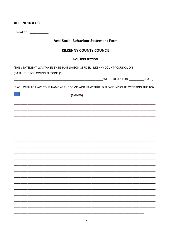# **APPENDIX A (ii)**

Record No.: \_\_\_\_\_\_\_\_\_\_\_\_\_

# **Anti-Social Behaviour Statement Form**

## **KILKENNY COUNTY COUNCIL**

#### **HOUSING SECTION**

(THIS STATEMENT WAS TAKEN BY TENANT LIAISON OFFICER KILKENNY COUNTY COUNCIL ON

(DATE). THE FOLLOWING PERSONS (S)

IF YOU WISH TO HAVE YOUR NAME AS THE COMPLAINANT WITHHELD PLEASE INDICATE BY TICKING THIS BOX:

 $(SIGNED)$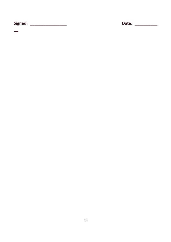Date: \_\_\_\_\_\_\_\_\_\_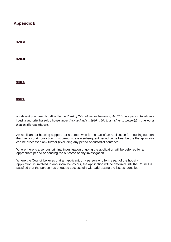# **Appendix B**

**NOTE1:**

**NOTE2:**

**NOTE3:**

**NOTE4:**

A 'relevant purchaser' is defined in the *Housing (Miscellaneous Provisions) Act 2014* as a person to whom a housing authority has sold a house under *the Housing Acts 1966 to 2014,* or his/her successor(s) in title, other than an affordable house.

An applicant for housing support - or a person who forms part of an application for housing support that has a court conviction must demonstrate a subsequent period crime free, before the application can be processed any further (excluding any period of custodial sentence).

Where there is a serious criminal investigation ongoing the application will be deferred for an appropriate period or pending the outcome of any investigation.

Where the Council believes that an applicant, or a person who forms part of the housing application, is involved in anti-social behaviour, the application will be deferred until the Council is satisfied that the person has engaged successfully with addressing the issues identified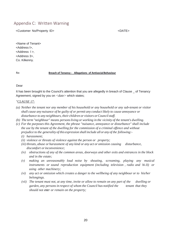# Appendix C: Written Warning

<Customer No/Property ID> <DATE><DATE>

<Name of Tenant> <Address l>, <Address l >, <Address 3>, Co. Kilkenny.

#### Re: **Breach of Tenancy - Allegations of AntisocialBehaviour**

#### Dear

It has been brought to the Council's attention that you are allegedly in breach of Clause \_ of Tenancy Agreement, signed by you on <date> which states;

#### *"CLAUSE 17:*

- *(a) Neither the tenant nor any member of his household or any household or any sub-tenant or visitor shall cause any nuisance of be guilty of or permit any conduct likely to cause annoyance or disturbance to any neighbours, their children or visitors orCouncilstaff.*
- *(b) The term "neighbour" means personsliving or working in the vicinity of the tenant's dwelling.*
- *(c) For the purposes this Agreement, the phrase "nuisance, annoyance or disturbance" shall include the use by the tenant of the dwelling for the commission of a criminal offence and without prejudice to the generality of this expression shall include all or any of the following:-*
	- *(i) harassment;*
	- *(ii) violence or threats of violence against the person or property;*
	- *(iii) threats, abuse or harassment of any kind or any act or omission causing disturbance, discomfort orinconvenience;*
	- *(iv) obstructions of any of the common areas, doorways and other exits and entrances in the block and in the estate;*
	- *(v) making an unreasonably loud noise by shouting, screaming, playing any musical instruments or sound reproduction equipment (including television , radio and hi-Ji) or using other machinery;*
	- *(vi) any act or omission which creates a danger to the wellbeing of any neighbour or to his/her belongings.*
	- *(vii) The tenant must not, at any time, invite or allow to remain on any part of the dwelling or garden, any persons in respect of whom the Council has notified the tenant that they should not enter or remain on the property;*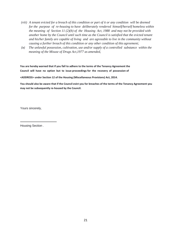- *(viii) A tenant evicted for a breach of this condition or part of it or any condition will be deemed for the purpose of re-housing to have deliberately rendered himself/herself homeless within the meaning of Section 11 (2)(b) of the Housing Act, 1988 and may not be provided with another home by the Council until such time as the Council is satisfied that the evicted tenant and his/her family are capable of living and are agreeable to live in the community without causing a further breach of this condition or any other condition of this agreement;*
- *(ix) The unlawful possession, cultivation, use and/or supply of a controlled substance within the meaning of the Misuse of Drugs Act,1977 as amended,*

**You are hereby warned that if you fail to adhere to the terms of the Tenancy Agreement the Council will have no option but to issue proceedings for the recovery of possession of**

**<ADDRESS> under Section 12 of the Housing (Miscellaneous Provisions) Act, 2014.**

**You should also be aware that if the Council evict you for breaches of the terms of the Tenancy Agreement you may not be subsequently re-housed by the Council.**

Yours sincerely,

Housing Section .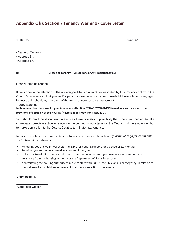# **Appendix C (i): Section 7 Tenancy Warning - Cover Letter**

<File Ref> <DATE>

<Name of Tenant> <Address 1>, <Address 1>,

Re: **Breach of Tenancy - Allegations of Anti SocialBehaviour**

Dear <Name of Tenant>,

It has come to the attention of the undersigned that complaints investigated by this Council confirm to the Council's satisfaction, that you and/or persons associated with your household, have allegedly engaged in antisocial behaviour, in breach of the terms of your tenancy agreement

- copy attached.

**In this connection, I enclose for your immediate attention, TENANCY WARNING issued in accordance with the provisions of Section 7 of the Housing (Miscellaneous Provisions) Act, 2014.**

You should read this document carefully as there is a strong possibility that where you neglect to take immediate corrective action in relation to the conduct of your tenancy, the Council will have no option but to make application to the District Court to terminate that tenancy.

In such circumstances, you will be deemed to have made yourself homeless *(by virtue of engagement in anti social behaviour),* thereby,

- Rendering you and your household, ineligible for housing support for a period of 12 months;
- Requiring you to source alternative accommodation, and to
- Defray the (market) cost of such alternative accommodation from your own resources without any assistance from the housing authority or the Department of Social Protection;
- Necessitating the housing authority to make contact with TUSLA, the Child and Family Agency, in relation to the welfare of your children in the event that the above action is necessary.

Yours faithfully,

Authorised Officer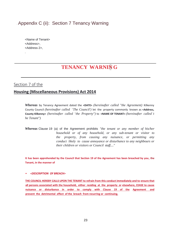# Appendix C (ii): Section 7 Tenancy Warning

<Name of Tenant> <Address>, <Address 2>,

# **TENANCY WARNIN- G**

**\_\_\_\_\_\_\_\_\_\_\_\_\_\_\_\_\_\_\_\_\_\_\_\_\_\_\_\_\_\_\_\_\_\_\_\_\_\_\_\_\_\_\_\_\_\_\_\_\_\_\_\_\_**

Section 7 of the

.

# **Housing (Miscellaneous Provisions) Act 2014**

*Whereas* by Tenancy Agreement dated the **<DATE>** *(hereinafter called "the Agreement)* Kilkenny County Council *(hereinafter called <sup>11</sup>The Council')* let the property commonly known as **<Address, County Kilkenny>** *(hereinafter called <sup>11</sup>the Property")* to **<NAME OF TENANT>** *(hereinafter called <sup>1</sup> t he Tenant")*

*Whereas* Clause 19 (a) of the Agreement prohibits *"the tenant or any member of his/her household or of any household, or any sub-tenant or visitor to the property, from causing any nuisance, or permitting any conduct likely to cause annoyance or disturbance to any neighbours or their children or visitors or Council staff...."*

**It has been apprehended by the Council that Section 19 of the Agreement has been breached by you, the Tenant, in the manner of**

• *<DESCRIPTION OF BREACH>*

**THE COUNCIL HEREBY CALLS UPON THE TENANT to refrain from this conduct immediately and to ensure that all persons associated with the household, either residing at the property or elsewhere, CEASE to cause nuisance or disturbance in order to comply with Clause 19 of the Agreement and prevent the detrimental effect of the breach from recurring or continuing.**